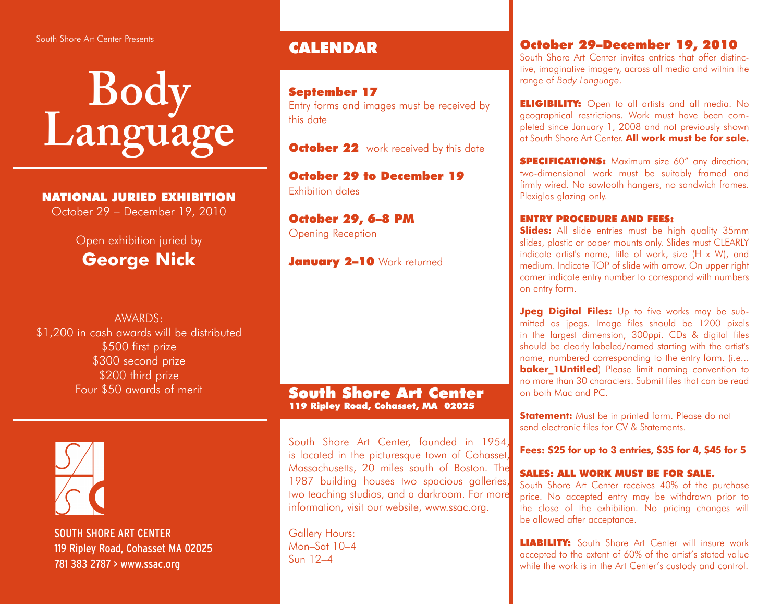#### South Shore Art Center Presents

# **Body Language**

## NATIONAL JURIED EXHIBITION

October 29 – December 19, 2010

## Open exhibition juried by **George Nick**

AWARDS: \$1,200 in cash awards will be distributed \$500 first prize \$300 second prize \$200 third prize Four \$50 awards of merit



 SOUTH SHORE ART CENTER 119 Ripley Road, Cohasset MA 02025 781 383 2787 > www.ssac.org

# CALENDAR

## September 17

Entry forms and images must be received by this date

**October 22** work received by this date

October 29 to December 19 Exhibition dates

October 29, 6–8 PM Opening Reception

January 2-10 Work returned

#### South Shore Art Center 119 Ripley Road, Cohasset, MA 02025

South Shore Art Center, founded in 1954, is located in the picturesque town of Cohasset, Massachusetts, 20 miles south of Boston. The 1987 building houses two spacious galleries, two teaching studios, and a darkroom. For more information, visit our website, www.ssac.org.

Gallery Hours: Mon–Sat 10–4 Sun 12–4

## October 29–December 19, 2010

South Shore Art Center invites entries that offer distinctive, imaginative imagery, across all media and within the range of *Body Language*.

**ELIGIBILITY:** Open to all artists and all media. No geographical restrictions. Work must have been completed since January 1, 2008 and not previously shown at South Shore Art Center. **All work must be for sale.**

**SPECIFICATIONS:** Maximum size 60" any direction; two-dimensional work must be suitably framed and firmly wired. No sawtooth hangers, no sandwich frames. Plexiglas glazing only.

### ENTRY PROCEDURE AND FEES:

**Slides:** All slide entries must be high quality 35mm slides, plastic or paper mounts only. Slides must CLEARLY indicate artist's name, title of work, size (H x W), and medium. Indicate TOP of slide with arrow. On upper right corner indicate entry number to correspond with numbers on entry form.

**Jpeg Digital Files:** Up to five works may be submitted as jpegs. Image files should be 1200 pixels in the largest dimension, 300ppi. CDs & digital files should be clearly labeled/named starting with the artist's name, numbered corresponding to the entry form. (i.e... **baker 1Untitled**) Please limit naming convention to no more than 30 characters. Submit files that can be read on both Mac and PC.

**Statement:** Must be in printed form. Please do not send electronic files for CV & Statements.

**Fees: \$25 for up to 3 entries, \$35 for 4, \$45 for 5**

#### SALES: ALL WORK MUST BE FOR SALE.

South Shore Art Center receives 40% of the purchase price. No accepted entry may be withdrawn prior to the close of the exhibition. No pricing changes will be allowed after acceptance.

**LIABILITY:** South Shore Art Center will insure work accepted to the extent of 60% of the artist's stated value while the work is in the Art Center's custody and control.